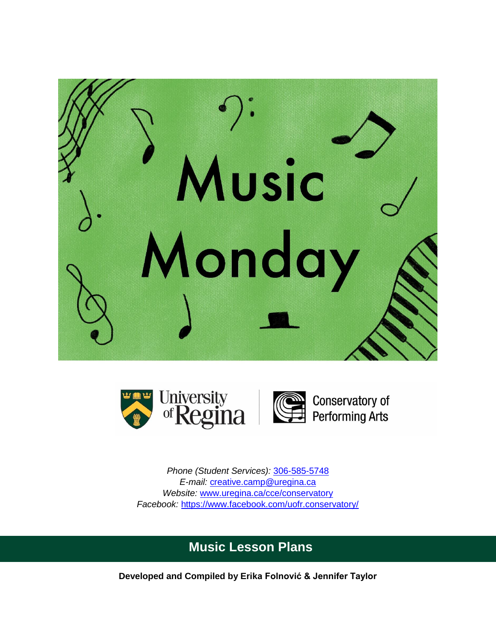





Conservatory of<br>Performing Arts

*Phone (Student Services):* [306-585-5748](tel:3065855748) *E-mail:* [creative.camp@uregina.ca](mailto:creative.camp@uregina.ca) *Website:* [www.uregina.ca/cce/conservatory](http://www.uregina.ca/cce/conservatory) *Facebook:* <https://www.facebook.com/uofr.conservatory/>

# **Music Lesson Plans**

**Developed and Compiled by Erika Folnović & Jennifer Taylor**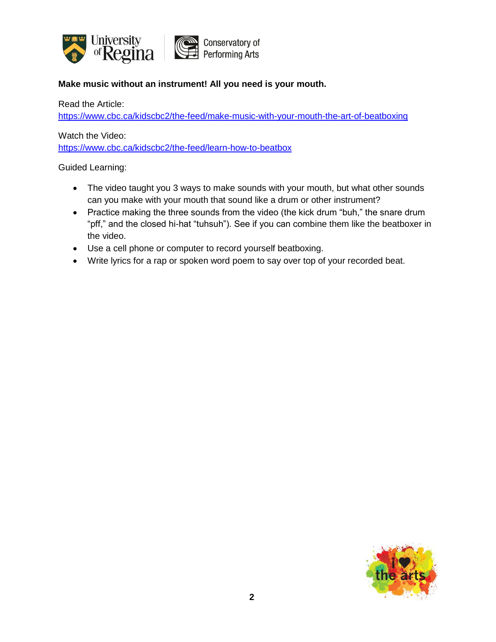

# **Make music without an instrument! All you need is your mouth.**

Read the Article:

<https://www.cbc.ca/kidscbc2/the-feed/make-music-with-your-mouth-the-art-of-beatboxing>

Watch the Video:

<https://www.cbc.ca/kidscbc2/the-feed/learn-how-to-beatbox>

- The video taught you 3 ways to make sounds with your mouth, but what other sounds can you make with your mouth that sound like a drum or other instrument?
- Practice making the three sounds from the video (the kick drum "buh," the snare drum "pff," and the closed hi-hat "tuhsuh"). See if you can combine them like the beatboxer in the video.
- Use a cell phone or computer to record yourself beatboxing.
- Write lyrics for a rap or spoken word poem to say over top of your recorded beat.

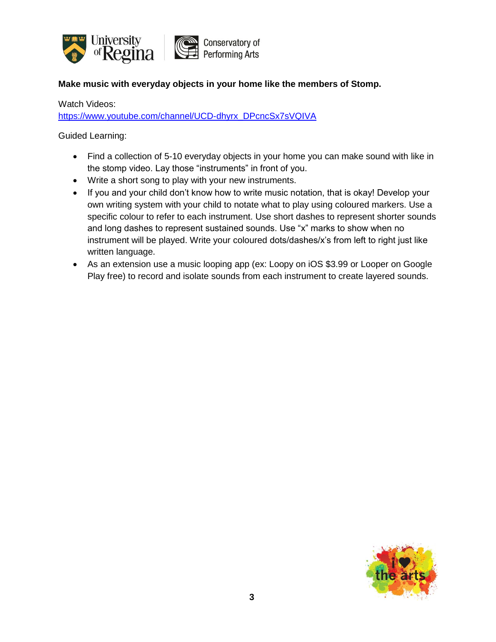

# **Make music with everyday objects in your home like the members of Stomp.**

Watch Videos:

[https://www.youtube.com/channel/UCD-dhyrx\\_DPcncSx7sVQIVA](https://www.youtube.com/channel/UCD-dhyrx_DPcncSx7sVQIVA)

- Find a collection of 5-10 everyday objects in your home you can make sound with like in the stomp video. Lay those "instruments" in front of you.
- Write a short song to play with your new instruments.
- If you and your child don't know how to write music notation, that is okay! Develop your own writing system with your child to notate what to play using coloured markers. Use a specific colour to refer to each instrument. Use short dashes to represent shorter sounds and long dashes to represent sustained sounds. Use "x" marks to show when no instrument will be played. Write your coloured dots/dashes/x's from left to right just like written language.
- As an extension use a music looping app (ex: Loopy on iOS \$3.99 or Looper on Google Play free) to record and isolate sounds from each instrument to create layered sounds.

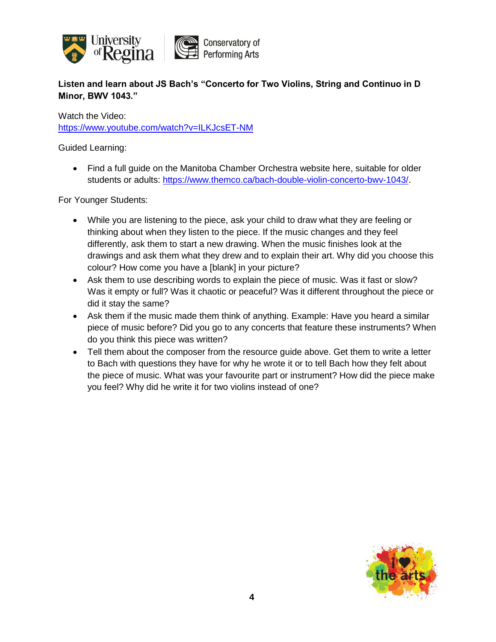

**Listen and learn about JS Bach's "Concerto for Two Violins, String and Continuo in D Minor, BWV 1043."**

Watch the Video:

<https://www.youtube.com/watch?v=ILKJcsET-NM>

Guided Learning:

 Find a full guide on the Manitoba Chamber Orchestra website here, suitable for older students or adults: [https://www.themco.ca/bach-double-violin-concerto-bwv-1043/.](https://www.themco.ca/bach-double-violin-concerto-bwv-1043/)

For Younger Students:

- While you are listening to the piece, ask your child to draw what they are feeling or thinking about when they listen to the piece. If the music changes and they feel differently, ask them to start a new drawing. When the music finishes look at the drawings and ask them what they drew and to explain their art. Why did you choose this colour? How come you have a [blank] in your picture?
- Ask them to use describing words to explain the piece of music. Was it fast or slow? Was it empty or full? Was it chaotic or peaceful? Was it different throughout the piece or did it stay the same?
- Ask them if the music made them think of anything. Example: Have you heard a similar piece of music before? Did you go to any concerts that feature these instruments? When do you think this piece was written?
- Tell them about the composer from the resource guide above. Get them to write a letter to Bach with questions they have for why he wrote it or to tell Bach how they felt about the piece of music. What was your favourite part or instrument? How did the piece make you feel? Why did he write it for two violins instead of one?

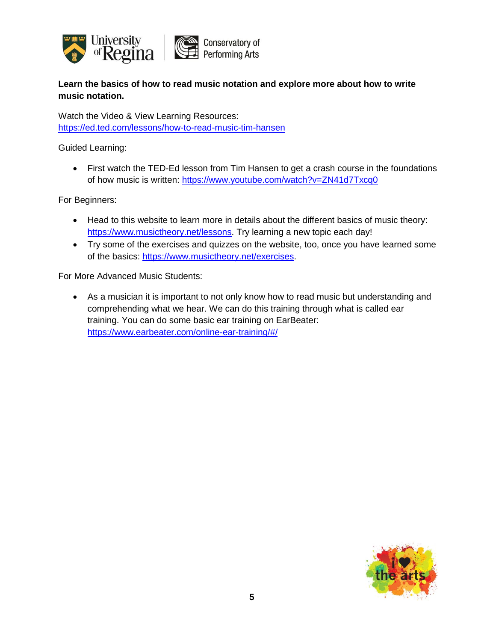

**Learn the basics of how to read music notation and explore more about how to write music notation.**

Watch the Video & View Learning Resources: <https://ed.ted.com/lessons/how-to-read-music-tim-hansen>

Guided Learning:

• First watch the TED-Ed lesson from Tim Hansen to get a crash course in the foundations of how music is written:<https://www.youtube.com/watch?v=ZN41d7Txcq0>

For Beginners:

- Head to this website to learn more in details about the different basics of music theory: [https://www.musictheory.net/lessons.](https://www.musictheory.net/lessons) Try learning a new topic each day!
- Try some of the exercises and quizzes on the website, too, once you have learned some of the basics: [https://www.musictheory.net/exercises.](https://www.musictheory.net/exercises)

For More Advanced Music Students:

 As a musician it is important to not only know how to read music but understanding and comprehending what we hear. We can do this training through what is called ear training. You can do some basic ear training on EarBeater: <https://www.earbeater.com/online-ear-training/#/>

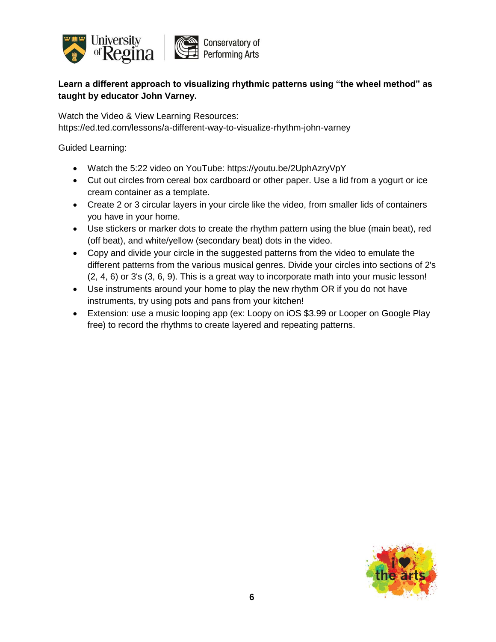

# **Learn a different approach to visualizing rhythmic patterns using "the wheel method" as taught by educator John Varney.**

Watch the Video & View Learning Resources: https://ed.ted.com/lessons/a-different-way-to-visualize-rhythm-john-varney

- Watch the 5:22 video on YouTube: https://youtu.be/2UphAzryVpY
- Cut out circles from cereal box cardboard or other paper. Use a lid from a yogurt or ice cream container as a template.
- Create 2 or 3 circular layers in your circle like the video, from smaller lids of containers you have in your home.
- Use stickers or marker dots to create the rhythm pattern using the blue (main beat), red (off beat), and white/yellow (secondary beat) dots in the video.
- Copy and divide your circle in the suggested patterns from the video to emulate the different patterns from the various musical genres. Divide your circles into sections of 2's (2, 4, 6) or 3's (3, 6, 9). This is a great way to incorporate math into your music lesson!
- Use instruments around your home to play the new rhythm OR if you do not have instruments, try using pots and pans from your kitchen!
- Extension: use a music looping app (ex: Loopy on iOS \$3.99 or Looper on Google Play free) to record the rhythms to create layered and repeating patterns.

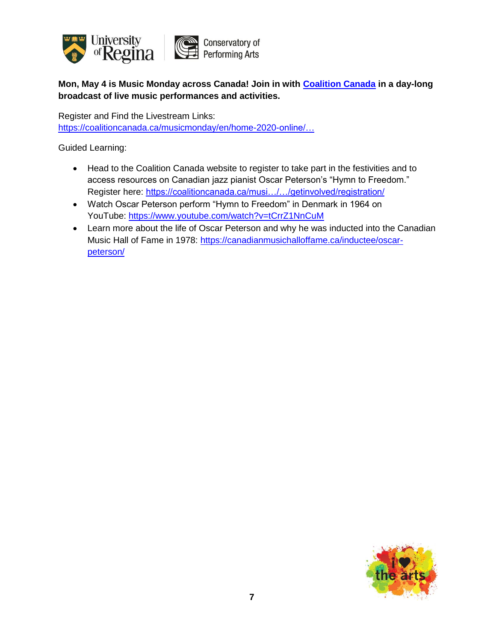

**Mon, May 4 is Music Monday across Canada! Join in with [Coalition Canada](https://www.facebook.com/CoalitionCanadaCA/?__tn__=K-R&eid=ARAT1CTgPCNzUCNctWcTTgn1HpXExc8ery8ayLtJ-Y_wTAufxW1njiV54tS5qnY4QdHlVjACJzwe-I_t&fref=mentions&__xts__%5B0%5D=68.ARCgvhQmCnpe4rcfKxJRsqmTVA09PxA7kBySscnz72BCTFyN7qwkf7_sahY9dpkGclen9JGtf2aXBIfb5I-cQ4p3zRHMSq2PsCIwdelkVdS2mxHr0IqeLXNATlbaqbxBrNe7zfeh_utdOvTE-5Wl-p-_tupUm9_99KFm7m0PnOUJC-sEZm_QjZF-V9KxWGik0AMCdWFybL1QVMcyx8_ua8eGTT3KWQr05ExBzJGiOq0EjcGjRwS6G1_vwKUVu73ag0w3H-tguD6w71ScyfHBbbqpO7Afpl8cuVj6W1kzHj8Kl7JASua4Qxvgwy-XccU8zP9EVpQELpf8SHqdZG_31jjckw) in a day-long broadcast of live music performances and activities.**

Register and Find the Livestream Links: [https://coalitioncanada.ca/musicmonday/en/home-2020-online/…](https://coalitioncanada.ca/musicmonday/en/home-2020-online/?fbclid=IwAR3laNOgU0Q6_wP3bJ2GYEydmG0MgW9roK_n5fbccEzWW1CyjME0D8xiBI0#main)

- Head to the Coalition Canada website to register to take part in the festivities and to access resources on Canadian jazz pianist Oscar Peterson's "Hymn to Freedom." Register here: [https://coalitioncanada.ca/musi…/…/getinvolved/registration/](https://l.facebook.com/l.php?u=https%3A%2F%2Fcoalitioncanada.ca%2Fmusicmonday%2Fen%2Fgetinvolved%2Fregistration%2F%3Ffbclid%3DIwAR2ruoGvGzHox8YVLaOV_GFliQ9P53GjLohoKE0B-jWpr6dEA__y4lt3DQw&h=AT0_lIsvl2yAEirwmFVWtVVylAUjCfrnUz4xtIdwlQc5TzDoh8_HcmyBRHx_fTfvQS104r_R1xvPGyVdKR1iXqIWpTkxECJA9-HczjIjbSPunYt0KvIgsEmlayDK5eUfbenUXJrV-SZ1EbHPAcRs0RF9D0-YY_XVYnndXHMAFeHtH-pqcL3ZGnXSefgW9yQCSiICA1r6OaapImS2CjeCTr1JQplE_pm1D9F0C0XVXh4SSbgd8QeofmjCMoUrg0NsfF6riZkD16-EhVJGa5cLREdeJ-YnDNfjYYIcczx-CK0smzXvaxWCSklSegpRfEkiiZuhtZU4fGgzsd4c6eJ4Ixsti6h2nN0j9hCnWzcUjXe4yKTAJHCYbKNdzbV2h70BrvdtY_H4gV6kINRtdi3YCtWF1kmXHenoXKILB5zu0QBoxuVOfCeYICT1i7ij7tbHHBP2fxzzxR0LVvj9L3bKqQEopGruYdnuxKHCOsEWuS6bjbf4joS3BpYwgV2-v5SieVErJmrrnn3akX9Y4zMUKT9pGn_wsvvEXbojtx8GN9EqhId4Wc22rdH8WyMGvvoxjHjwVIvkt0j0_Y7HMyVAJq84go4BOLlC_CXyJtF3d6Ukojl9SlWS-3hQu6C9fp-L)
- Watch Oscar Peterson perform "Hymn to Freedom" in Denmark in 1964 on YouTube: [https://www.youtube.com/watch?v=tCrrZ1NnCuM](https://www.youtube.com/watch?v=tCrrZ1NnCuM&fbclid=IwAR2MAeLV9mkvz9bRHIWUsdIxRLCKiO9Lk-bJP7-ohTI1LRJRdg-Sd_-NpG4)
- Learn more about the life of Oscar Peterson and why he was inducted into the Canadian Music Hall of Fame in 1978: [https://canadianmusichalloffame.ca/inductee/oscar](https://canadianmusichalloffame.ca/inductee/oscar-peterson/?fbclid=IwAR1-KPAospXm2K6XJyuOvGYyP0Rf22xA8s_VsoIEtY0dLHODpnZHfcCocYo)[peterson/](https://canadianmusichalloffame.ca/inductee/oscar-peterson/?fbclid=IwAR1-KPAospXm2K6XJyuOvGYyP0Rf22xA8s_VsoIEtY0dLHODpnZHfcCocYo)

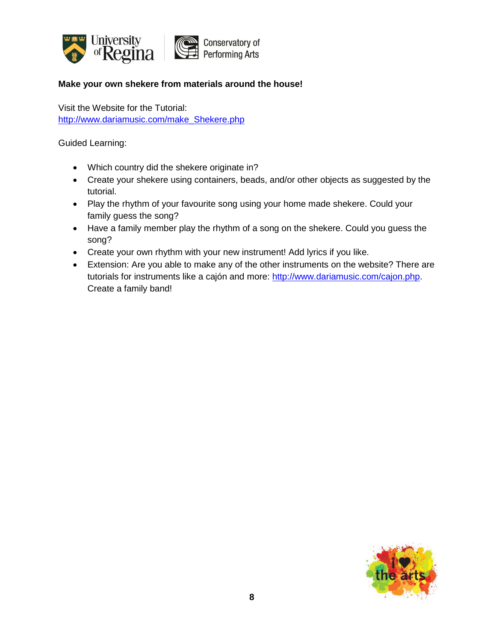

### **Make your own shekere from materials around the house!**

Visit the Website for the Tutorial: http://www.dariamusic.com/make Shekere.php

- Which country did the shekere originate in?
- Create your shekere using containers, beads, and/or other objects as suggested by the tutorial.
- Play the rhythm of your favourite song using your home made shekere. Could your family guess the song?
- Have a family member play the rhythm of a song on the shekere. Could you guess the song?
- Create your own rhythm with your new instrument! Add lyrics if you like.
- Extension: Are you able to make any of the other instruments on the website? There are tutorials for instruments like a cajón and more: [http://www.dariamusic.com/cajon.php.](http://www.dariamusic.com/cajon.php) Create a family band!

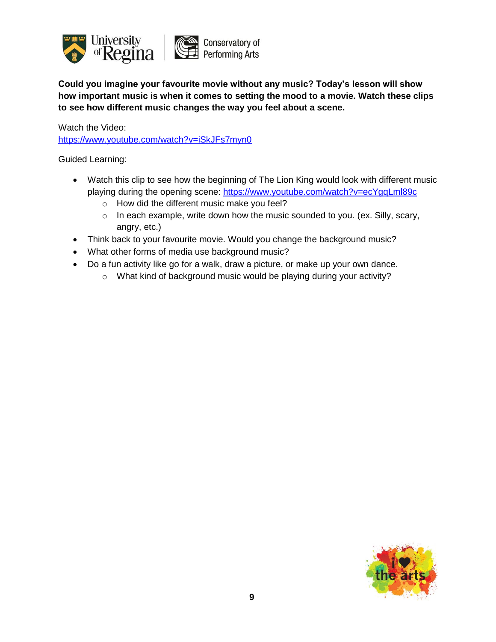

**Could you imagine your favourite movie without any music? Today's lesson will show how important music is when it comes to setting the mood to a movie. Watch these clips to see how different music changes the way you feel about a scene.**

Watch the Video: <https://www.youtube.com/watch?v=iSkJFs7myn0>

- Watch this clip to see how the beginning of The Lion King would look with different music playing during the opening scene:<https://www.youtube.com/watch?v=ecYgqLml89c>
	- o How did the different music make you feel?
	- o In each example, write down how the music sounded to you. (ex. Silly, scary, angry, etc.)
- Think back to your favourite movie. Would you change the background music?
- What other forms of media use background music?
- Do a fun activity like go for a walk, draw a picture, or make up your own dance.
	- o What kind of background music would be playing during your activity?

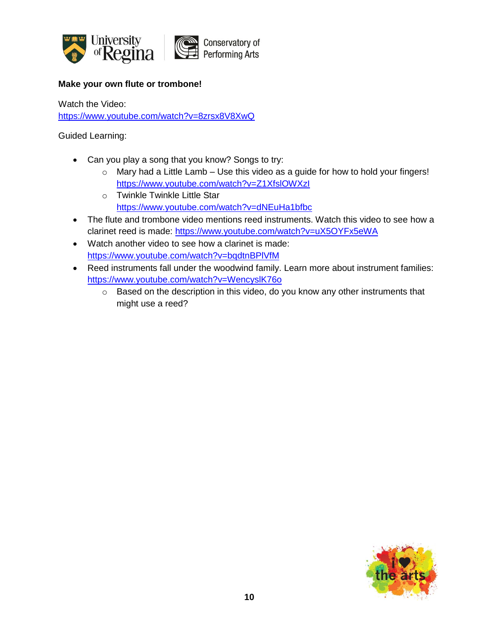

### **Make your own flute or trombone!**

Watch the Video: <https://www.youtube.com/watch?v=8zrsx8V8XwQ>

- Can you play a song that you know? Songs to try:
	- $\circ$  Mary had a Little Lamb Use this video as a guide for how to hold your fingers! <https://www.youtube.com/watch?v=Z1XfslOWXzI>
	- o Twinkle Twinkle Little Star <https://www.youtube.com/watch?v=dNEuHa1bfbc>
- The flute and trombone video mentions reed instruments. Watch this video to see how a clarinet reed is made:<https://www.youtube.com/watch?v=uX5OYFx5eWA>
- Watch another video to see how a clarinet is made: <https://www.youtube.com/watch?v=bqdtnBPlVfM>
- Reed instruments fall under the woodwind family. Learn more about instrument families: <https://www.youtube.com/watch?v=WencyslK76o>
	- o Based on the description in this video, do you know any other instruments that might use a reed?

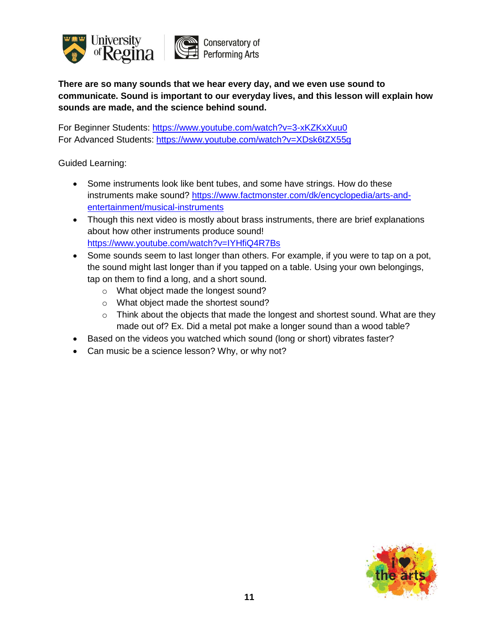

**There are so many sounds that we hear every day, and we even use sound to communicate. Sound is important to our everyday lives, and this lesson will explain how sounds are made, and the science behind sound.**

For Beginner Students: <https://www.youtube.com/watch?v=3-xKZKxXuu0> For Advanced Students: <https://www.youtube.com/watch?v=XDsk6tZX55g>

- Some instruments look like bent tubes, and some have strings. How do these instruments make sound? [https://www.factmonster.com/dk/encyclopedia/arts-and](https://www.factmonster.com/dk/encyclopedia/arts-and-entertainment/musical-instruments)[entertainment/musical-instruments](https://www.factmonster.com/dk/encyclopedia/arts-and-entertainment/musical-instruments)
- Though this next video is mostly about brass instruments, there are brief explanations about how other instruments produce sound! <https://www.youtube.com/watch?v=IYHfiQ4R7Bs>
- Some sounds seem to last longer than others. For example, if you were to tap on a pot, the sound might last longer than if you tapped on a table. Using your own belongings, tap on them to find a long, and a short sound.
	- o What object made the longest sound?
	- o What object made the shortest sound?
	- o Think about the objects that made the longest and shortest sound. What are they made out of? Ex. Did a metal pot make a longer sound than a wood table?
- Based on the videos you watched which sound (long or short) vibrates faster?
- Can music be a science lesson? Why, or why not?

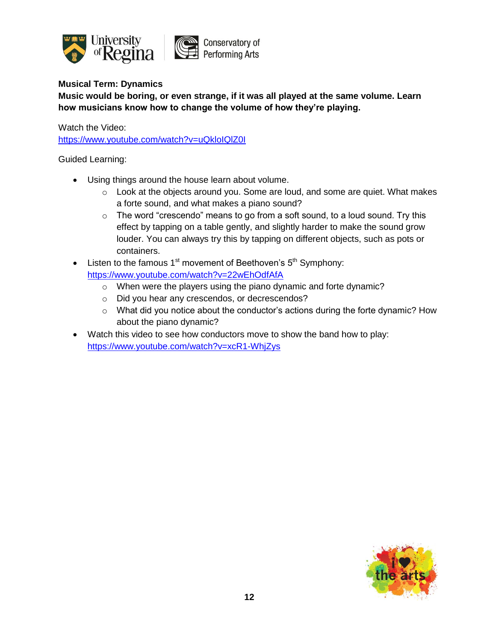

# **Musical Term: Dynamics**

**Music would be boring, or even strange, if it was all played at the same volume. Learn how musicians know how to change the volume of how they're playing.**

Watch the Video:

<https://www.youtube.com/watch?v=uQkloIQlZ0I>

- Using things around the house learn about volume.
	- o Look at the objects around you. Some are loud, and some are quiet. What makes a forte sound, and what makes a piano sound?
	- $\circ$  The word "crescendo" means to go from a soft sound, to a loud sound. Try this effect by tapping on a table gently, and slightly harder to make the sound grow louder. You can always try this by tapping on different objects, such as pots or containers.
- Eisten to the famous  $1<sup>st</sup>$  movement of Beethoven's  $5<sup>th</sup>$  Symphony: <https://www.youtube.com/watch?v=22wEhOdfAfA>
	- o When were the players using the piano dynamic and forte dynamic?
	- o Did you hear any crescendos, or decrescendos?
	- o What did you notice about the conductor's actions during the forte dynamic? How about the piano dynamic?
- Watch this video to see how conductors move to show the band how to play: <https://www.youtube.com/watch?v=xcR1-WhjZys>

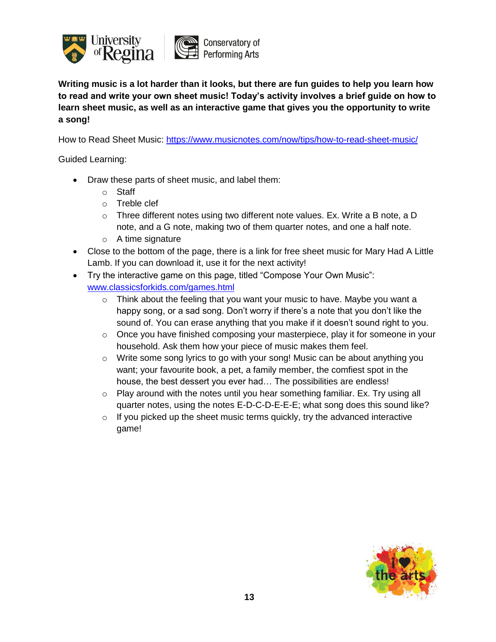

**Writing music is a lot harder than it looks, but there are fun guides to help you learn how to read and write your own sheet music! Today's activity involves a brief guide on how to learn sheet music, as well as an interactive game that gives you the opportunity to write a song!**

How to Read Sheet Music: <https://www.musicnotes.com/now/tips/how-to-read-sheet-music/>

- Draw these parts of sheet music, and label them:
	- o Staff
	- o Treble clef
	- $\circ$  Three different notes using two different note values. Ex. Write a B note, a D note, and a G note, making two of them quarter notes, and one a half note.
	- $\circ$  A time signature
- Close to the bottom of the page, there is a link for free sheet music for Mary Had A Little Lamb. If you can download it, use it for the next activity!
- Try the interactive game on this page, titled "Compose Your Own Music": [www.classicsforkids.com/games.html](http://www.classicsforkids.com/games.html)
	- o Think about the feeling that you want your music to have. Maybe you want a happy song, or a sad song. Don't worry if there's a note that you don't like the sound of. You can erase anything that you make if it doesn't sound right to you.
	- o Once you have finished composing your masterpiece, play it for someone in your household. Ask them how your piece of music makes them feel.
	- $\circ$  Write some song lyrics to go with your song! Music can be about anything you want; your favourite book, a pet, a family member, the comfiest spot in the house, the best dessert you ever had… The possibilities are endless!
	- $\circ$  Play around with the notes until you hear something familiar. Ex. Try using all quarter notes, using the notes E-D-C-D-E-E-E; what song does this sound like?
	- $\circ$  If you picked up the sheet music terms quickly, try the advanced interactive game!

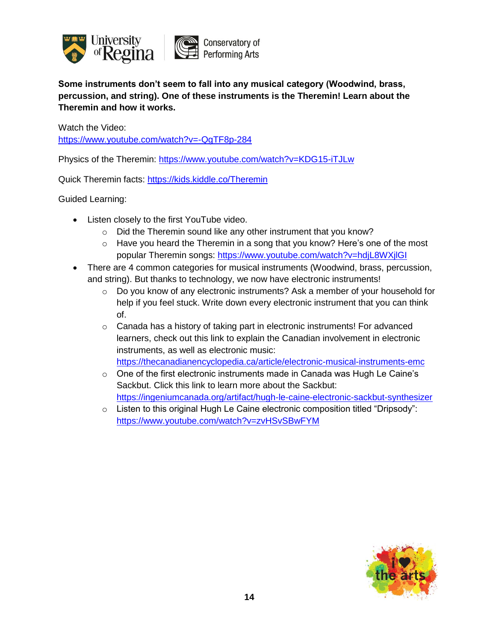

**Some instruments don't seem to fall into any musical category (Woodwind, brass, percussion, and string). One of these instruments is the Theremin! Learn about the Theremin and how it works.**

Watch the Video: <https://www.youtube.com/watch?v=-QgTF8p-284>

Physics of the Theremin: <https://www.youtube.com/watch?v=KDG15-iTJLw>

Quick Theremin facts: <https://kids.kiddle.co/Theremin>

- Listen closely to the first YouTube video.
	- o Did the Theremin sound like any other instrument that you know?
	- o Have you heard the Theremin in a song that you know? Here's one of the most popular Theremin songs:<https://www.youtube.com/watch?v=hdjL8WXjlGI>
- There are 4 common categories for musical instruments (Woodwind, brass, percussion, and string). But thanks to technology, we now have electronic instruments!
	- $\circ$  Do you know of any electronic instruments? Ask a member of your household for help if you feel stuck. Write down every electronic instrument that you can think of.
	- $\circ$  Canada has a history of taking part in electronic instruments! For advanced learners, check out this link to explain the Canadian involvement in electronic instruments, as well as electronic music: <https://thecanadianencyclopedia.ca/article/electronic-musical-instruments-emc>
	- $\circ$  One of the first electronic instruments made in Canada was Hugh Le Caine's Sackbut. Click this link to learn more about the Sackbut: <https://ingeniumcanada.org/artifact/hugh-le-caine-electronic-sackbut-synthesizer>
	- o Listen to this original Hugh Le Caine electronic composition titled "Dripsody": <https://www.youtube.com/watch?v=zvHSvSBwFYM>

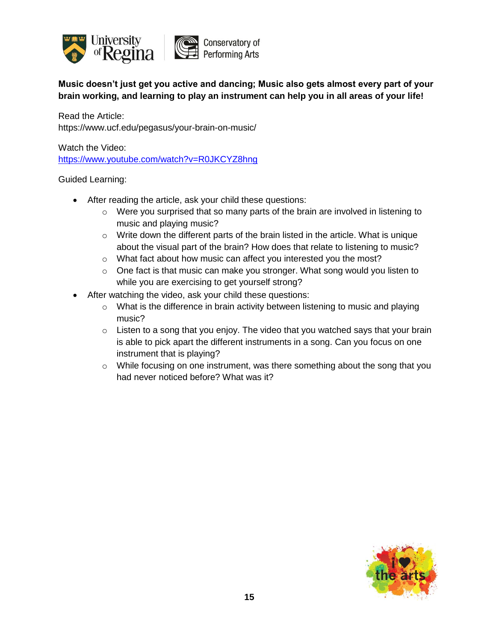

**Music doesn't just get you active and dancing; Music also gets almost every part of your brain working, and learning to play an instrument can help you in all areas of your life!**

Read the Article: https://www.ucf.edu/pegasus/your-brain-on-music/

Watch the Video: <https://www.youtube.com/watch?v=R0JKCYZ8hng>

- After reading the article, ask your child these questions:
	- o Were you surprised that so many parts of the brain are involved in listening to music and playing music?
	- $\circ$  Write down the different parts of the brain listed in the article. What is unique about the visual part of the brain? How does that relate to listening to music?
	- o What fact about how music can affect you interested you the most?
	- o One fact is that music can make you stronger. What song would you listen to while you are exercising to get yourself strong?
- After watching the video, ask your child these questions:
	- o What is the difference in brain activity between listening to music and playing music?
	- $\circ$  Listen to a song that you enjoy. The video that you watched says that your brain is able to pick apart the different instruments in a song. Can you focus on one instrument that is playing?
	- o While focusing on one instrument, was there something about the song that you had never noticed before? What was it?

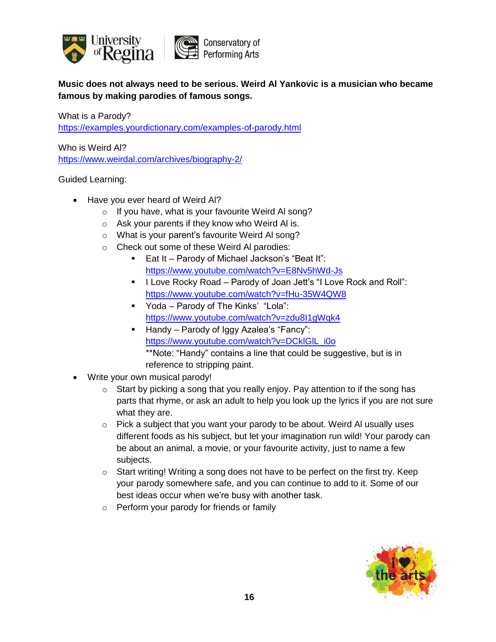

**Music does not always need to be serious. Weird Al Yankovic is a musician who became famous by making parodies of famous songs.**

What is a Parody? <https://examples.yourdictionary.com/examples-of-parody.html>

Who is Weird Al? <https://www.weirdal.com/archives/biography-2/>

- Have you ever heard of Weird Al?
	- o If you have, what is your favourite Weird Al song?
	- o Ask your parents if they know who Weird Al is.
	- o What is your parent's favourite Weird Al song?
	- o Check out some of these Weird Al parodies:
		- Eat It Parody of Michael Jackson's "Beat It": <https://www.youtube.com/watch?v=E8Nv5hWd-Js>
		- **I Love Rocky Road Parody of Joan Jett's "I Love Rock and Roll":** <https://www.youtube.com/watch?v=fHu-35W4QW8>
		- Yoda Parody of The Kinks' "Lola": <https://www.youtube.com/watch?v=zdu8I1gWqk4>
		- Handy Parody of Iggy Azalea's "Fancy": [https://www.youtube.com/watch?v=DCklGlL\\_i0o](https://www.youtube.com/watch?v=DCklGlL_i0o) \*\*Note: "Handy" contains a line that could be suggestive, but is in reference to stripping paint.
- Write your own musical parody!
	- $\circ$  Start by picking a song that you really enjoy. Pay attention to if the song has parts that rhyme, or ask an adult to help you look up the lyrics if you are not sure what they are.
	- $\circ$  Pick a subject that you want your parody to be about. Weird AI usually uses different foods as his subject, but let your imagination run wild! Your parody can be about an animal, a movie, or your favourite activity, just to name a few subjects.
	- o Start writing! Writing a song does not have to be perfect on the first try. Keep your parody somewhere safe, and you can continue to add to it. Some of our best ideas occur when we're busy with another task.
	- o Perform your parody for friends or family